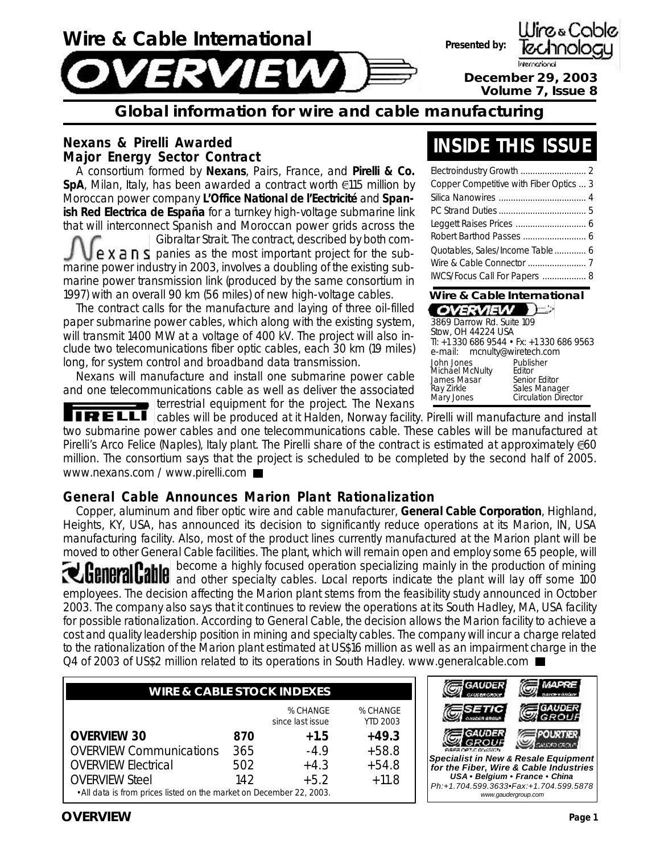

### **Global information for wire and cable manufacturing**

#### **Nexans & Pirelli Awarded Major Energy Sector Contract**

A consortium formed by **Nexans**, Pairs, France, and **Pirelli & Co. SpA**, Milan, Italy, has been awarded a contract worth **€115 million by** Moroccan power company **L'Office National de l'Eectricité** and **Spanish Red Electrica de España** for a turnkey high-voltage submarine link that will interconnect Spanish and Moroccan power grids across the Gibraltar Strait. The contract, described by both com- $P \times a \cap S$  panies as the most important project for the submarine power industry in 2003, involves a doubling of the existing submarine power transmission link (produced by the same consortium in 1997) with an overall 90 km (56 miles) of new high-voltage cables.

The contract calls for the manufacture and laying of three oil-filled paper submarine power cables, which along with the existing system, will transmit 1400 MW at a voltage of 400 kV. The project will also include two telecomunications fiber optic cables, each 30 km (19 miles) long, for system control and broadband data transmission.

Nexans will manufacture and install one submarine power cable and one telecommunications cable as well as deliver the associated terrestrial equipment for the project. The Nexans

**TRELLI** cables will be produced at it Halden, Norway facility. Pirelli will manufacture and install two submarine power cables and one telecommunications cable. These cables will be manufactured at Pirelli's Arco Felice (Naples), Italy plant. The Pirelli share of the contract is estimated at approximately  $\epsilon$ 60 million. The consortium says that the project is scheduled to be completed by the second half of 2005. www.nexans.com / www.pirelli.com

#### **General Cable Announces Marion Plant Rationalization**

Copper, aluminum and fiber optic wire and cable manufacturer, **General Cable Corporation**, Highland, Heights, KY, USA, has announced its decision to significantly reduce operations at its Marion, IN, USA manufacturing facility. Also, most of the product lines currently manufactured at the Marion plant will be moved to other General Cable facilities. The plant, which will remain open and employ some 65 people, will become a highly focused operation specializing mainly in the production of mining and other specialty cables. Local reports indicate the plant will lay off some 100 employees. The decision affecting the Marion plant stems from the feasibility study announced in October 2003. The company also says that it continues to review the operations at its South Hadley, MA, USA facility for possible rationalization. According to General Cable, the decision allows the Marion facility to achieve a cost and quality leadership position in mining and specialty cables. The company will incur a charge related to the rationalization of the Marion plant estimated at US\$16 million as well as an impairment charge in the Q4 of 2003 of US\$2 million related to its operations in South Hadley. www.generalcable.com ■

| <b>WIRE &amp; CABLE STOCK INDEXES</b>                                |     |                              |                             |  |  |  |
|----------------------------------------------------------------------|-----|------------------------------|-----------------------------|--|--|--|
|                                                                      |     | % CHANGE<br>since last issue | % CHANGE<br><b>YTD 2003</b> |  |  |  |
| <b>OVERVIEW 30</b>                                                   | 870 | $+1.5$                       | $+49.3$                     |  |  |  |
| <b>OVERVIEW Communications</b>                                       | 365 | $-4.9$                       | $+58.8$                     |  |  |  |
| <b>OVERVIEW Electrical</b>                                           | 502 | $+4.3$                       | $+54.8$                     |  |  |  |
| <b>OVERVIEW Steel</b>                                                | 142 | $+5.2$                       | $+11.8$                     |  |  |  |
| • All data is from prices listed on the market on December 22, 2003. |     |                              |                             |  |  |  |



**OVERVIEW Page 1**

### **INSIDE THIS ISSUE**

| Wire & Cable International<br>CACCAGEAL THE |  |
|---------------------------------------------|--|
| IWCS/Focus Call For Papers  8               |  |
|                                             |  |
| Quotables, Sales/Income Table  6            |  |
| Robert Barthod Passes  6                    |  |
|                                             |  |
|                                             |  |
|                                             |  |
| Copper Competitive with Fiber Optics  3     |  |
|                                             |  |

| OVERVIEW                                                                 |                                                                                      |
|--------------------------------------------------------------------------|--------------------------------------------------------------------------------------|
| 3869 Darrow Rd. Suite 109<br>Stow, OH 44224 USA                          |                                                                                      |
| e-mail: mcnulty@wiretech.com                                             | Tl: +1 330 686 9544 • Fx: +1 330 686 9563                                            |
| John Jones<br>Michael McNulty<br>James Masar<br>Ray Zirkle<br>Mary Jones | Publisher<br>Editor<br>Senior Editor<br>Sales Manager<br><b>Circulation Director</b> |

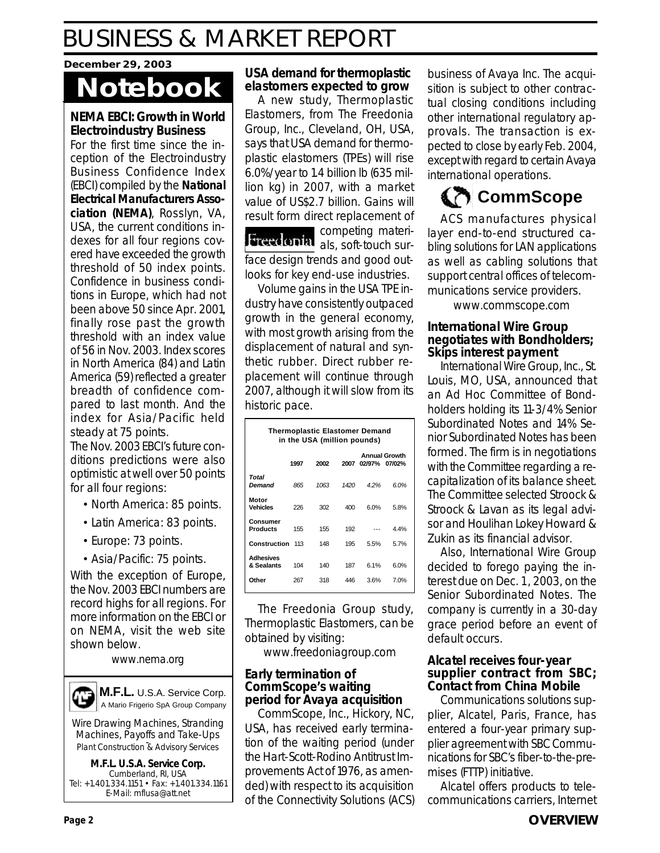#### **December 29, 2003**

# **Notebook**

#### **NEMA EBCI: Growth in World Electroindustry Business**

For the first time since the inception of the Electroindustry Business Confidence Index (EBCI) compiled by the **National Electrical Manufacturers Association (NEMA)**, Rosslyn, VA, USA, the current conditions indexes for all four regions covered have exceeded the growth threshold of 50 index points. Confidence in business conditions in Europe, which had not been above 50 since Apr. 2001, finally rose past the growth threshold with an index value of 56 in Nov. 2003. Index scores in North America (84) and Latin America (59) reflected a greater breadth of confidence compared to last month. And the index for Asia/Pacific held steady at 75 points.

The Nov. 2003 EBCI's future conditions predictions were also optimistic at well over 50 points for all four regions:

- North America: 85 points.
- Latin America: 83 points.
- Europe: 73 points.
- Asia/Pacific: 75 points.

With the exception of Europe, the Nov. 2003 EBCI numbers are record highs for all regions. For more information on the EBCI or on NEMA, visit the web site shown below.

www.nema.org



Wire Drawing Machines, Stranding Machines, Payoffs and Take-Ups Plant Construction & Advisory Services

**M.F.L. U.S.A. Service Corp.** Cumberland, RI, USA Tel: +1.401.334.1151 • Fax: +1.401.334.1161 E-Mail: mflusa@att.net

#### **USA demand for thermoplastic elastomers expected to grow**

A new study, Thermoplastic Elastomers, from The Freedonia Group, Inc., Cleveland, OH, USA, says that USA demand for thermoplastic elastomers (TPEs) will rise 6.0%/year to 1.4 billion lb (635 million kg) in 2007, with a market value of US\$2.7 billion. Gains will result form direct replacement of

competing materi-Freedonia als, soft-touch surface design trends and good outlooks for key end-use industries.

Volume gains in the USA TPE industry have consistently outpaced growth in the general economy, with most growth arising from the displacement of natural and synthetic rubber. Direct rubber replacement will continue through 2007, although it will slow from its historic pace.

| <b>Thermoplastic Elastomer Demand</b><br>in the USA (million pounds) |      |      |      |        |                                |  |
|----------------------------------------------------------------------|------|------|------|--------|--------------------------------|--|
|                                                                      | 1997 | 2002 | 2007 | 02/97% | <b>Annual Growth</b><br>07/02% |  |
| Total<br>Demand                                                      | 865  | 1063 | 1420 | 4.2%   | 6.0%                           |  |
| Motor<br><b>Vehicles</b>                                             | 226  | 302  | 400  | 6.0%   | 5.8%                           |  |
| Consumer<br><b>Products</b>                                          | 155  | 155  | 192  |        | 4.4%                           |  |
| Construction                                                         | 113  | 148  | 195  | 5.5%   | 5.7%                           |  |
| <b>Adhesives</b><br>& Sealants                                       | 104  | 140  | 187  | 6.1%   | 6.0%                           |  |
| Other                                                                | 267  | 318  | 446  | 3.6%   | 7.0%                           |  |

The Freedonia Group study, Thermoplastic Elastomers, can be obtained by visiting:

www.freedoniagroup.com

#### **Early termination of CommScope's waiting period for Avaya acquisition**

CommScope, Inc., Hickory, NC, USA, has received early termination of the waiting period (under the Hart-Scott-Rodino Antitrust Improvements Act of 1976, as amended) with respect to its acquisition of the Connectivity Solutions (ACS) business of Avaya Inc. The acquisition is subject to other contractual closing conditions including other international regulatory approvals. The transaction is expected to close by early Feb. 2004, except with regard to certain Avaya international operations.

### **CommScope**

ACS manufactures physical layer end-to-end structured cabling solutions for LAN applications as well as cabling solutions that support central offices of telecommunications service providers.

www.commscope.com

#### **International Wire Group negotiates with Bondholders; Skips interest payment**

International Wire Group, Inc., St. Louis, MO, USA, announced that an Ad Hoc Committee of Bondholders holding its 11-3/4% Senior Subordinated Notes and 14% Senior Subordinated Notes has been formed. The firm is in negotiations with the Committee regarding a recapitalization of its balance sheet. The Committee selected Stroock & Stroock & Lavan as its legal advisor and Houlihan Lokey Howard & Zukin as its financial advisor.

Also, International Wire Group decided to forego paying the interest due on Dec. 1 , 2003, on the Senior Subordinated Notes. The company is currently in a 30-day grace period before an event of default occurs.

#### **Alcatel receives four-year supplier contract from SBC; Contact from China Mobile**

Communications solutions supplier, Alcatel, Paris, France, has entered a four-year primary supplier agreement with SBC Communications for SBC's fiber-to-the-premises (FTTP) initiative.

Alcatel offers products to telecommunications carriers, Internet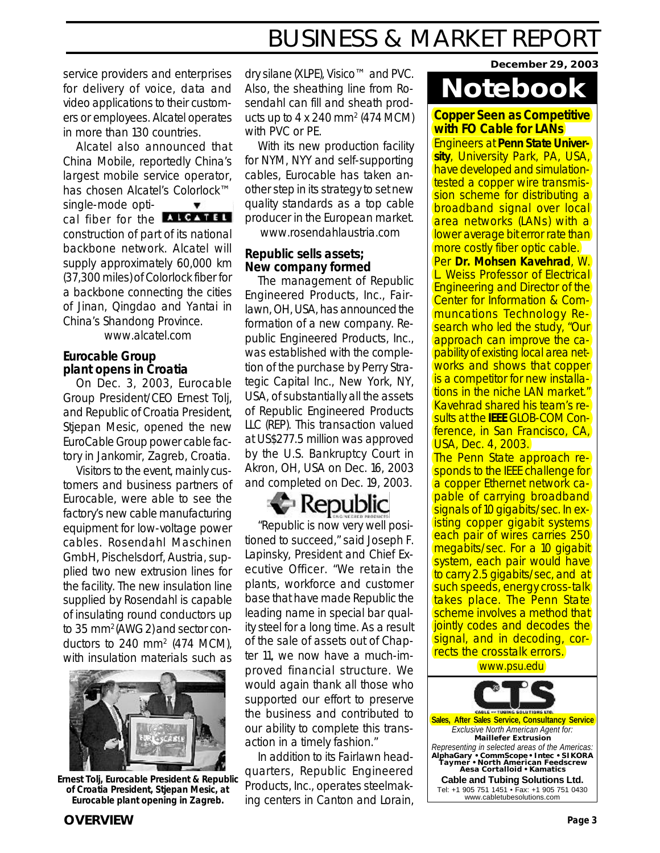service providers and enterprises for delivery of voice, data and video applications to their customers or employees. Alcatel operates in more than 130 countries.

Alcatel also announced that China Mobile, reportedly China's largest mobile service operator, has chosen Alcatel's Colorlock™ single-mode optical fiber for the **ALGATEL** construction of part of its national backbone network. Alcatel will supply approximately 60,000 km (37,300 miles) of Colorlock fiber for a backbone connecting the cities of Jinan, Qingdao and Yantai in China's Shandong Province.

www.alcatel.com

#### **Eurocable Group plant opens in Croatia**

On Dec. 3, 2003, Eurocable Group President/CEO Ernest Tolj, and Republic of Croatia President, Stjepan Mesic, opened the new EuroCable Group power cable factory in Jankomir, Zagreb, Croatia.

Visitors to the event, mainly customers and business partners of Eurocable, were able to see the factory's new cable manufacturing equipment for low-voltage power cables. Rosendahl Maschinen GmbH, Pischelsdorf, Austria, supplied two new extrusion lines for the facility. The new insulation line supplied by Rosendahl is capable of insulating round conductors up to 35 mm2 (AWG 2) and sector conductors to 240 mm<sup>2</sup> (474 MCM), with insulation materials such as



**Ernest Tolj, Eurocable President & Republic of Croatia President, Stjepan Mesic, at Eurocable plant opening in Zagreb.**

dry silane (XLPE), Visico™ and PVC. Also, the sheathing line from Rosendahl can fill and sheath products up to  $4 \times 240$  mm<sup>2</sup> (474 MCM) with PVC or PE.

With its new production facility for NYM, NYY and self-supporting cables, Eurocable has taken another step in its strategy to set new quality standards as a top cable producer in the European market.

www.rosendahlaustria.com

#### **Republic sells assets; New company formed**

The management of Republic Engineered Products, Inc., Fairlawn, OH, USA, has announced the formation of a new company. Republic Engineered Products, Inc., was established with the completion of the purchase by Perry Strategic Capital Inc., New York, NY, USA, of substantially all the assets of Republic Engineered Products LLC (REP). This transaction valued at US\$277.5 million was approved by the U.S. Bankruptcy Court in Akron, OH, USA on Dec. 16, 2003 and completed on Dec. 19, 2003.

### Republic

"Republic is now very well positioned to succeed," said Joseph F. Lapinsky, President and Chief Executive Officer. "We retain the plants, workforce and customer base that have made Republic the leading name in special bar quality steel for a long time. As a result of the sale of assets out of Chapter 11, we now have a much-improved financial structure. We would again thank all those who supported our effort to preserve the business and contributed to our ability to complete this transaction in a timely fashion."

In addition to its Fairlawn headquarters, Republic Engineered Products, Inc., operates steelmaking centers in Canton and Lorain, **December 29, 2003**

# **Notebook**

**Copper Seen as Competitive with FO Cable for LANs**

Engineers at **Penn State University**, University Park, PA, USA, have developed and simulationtested a copper wire transmission scheme for distributing a broadband signal over local area networks (LANs) with a lower average bit error rate than more costly fiber optic cable.

Per **Dr. Mohsen Kavehrad**, W. L. Weiss Professor of Electrical Engineering and Director of the Center for Information & Communcations Technology Research who led the study, "Our approach can improve the capability of existing local area networks and shows that copper is a competitor for new installations in the niche LAN market." Kavehrad shared his team's results at the **IEEE** GLOB-COM Conference, in San Francisco, CA, USA, Dec. 4, 2003.

The Penn State approach responds to the IEEE challenge for a copper Ethernet network capable of carrying broadband signals of 10 gigabits/sec. In existing copper gigabit systems each pair of wires carries 250 megabits/sec. For a 10 gigabit system, each pair would have to carry 2.5 gigabits/sec, and at such speeds, energy cross-talk takes place. The Penn State scheme involves a method that jointly codes and decodes the signal, and in decoding, corrects the crosstalk errors.

www.psu.edu

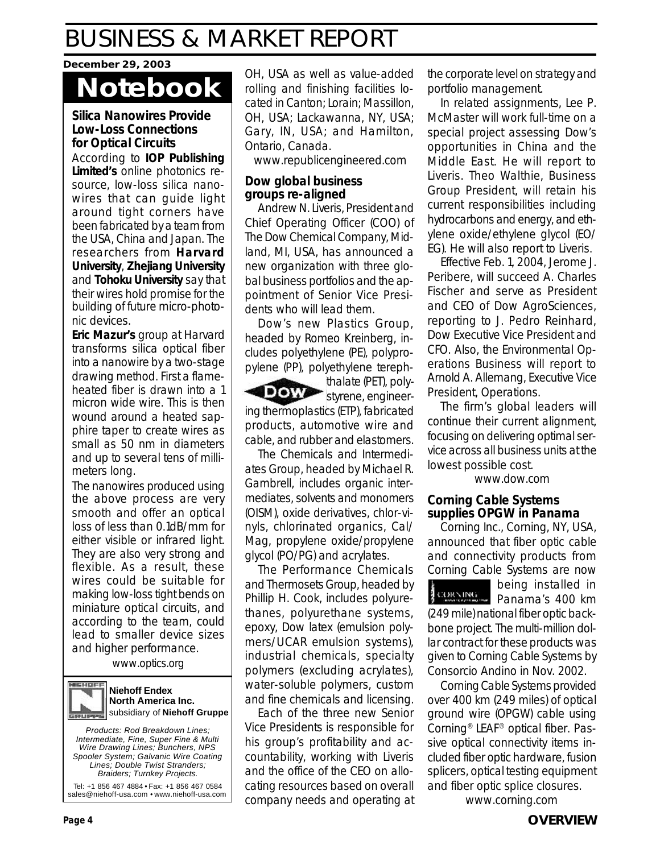#### **December 29, 2003**

## **Notebook**

#### **Silica Nanowires Provide Low-Loss Connections for Optical Circuits**

According to **IOP Publishing Limited's** online photonics resource, low-loss silica nanowires that can guide light around tight corners have been fabricated by a team from the USA, China and Japan. The researchers from **Harvard University**, **Zhejiang University** and **Tohoku University** say that their wires hold promise for the building of future micro-photonic devices.

**Eric Mazur's** group at Harvard transforms silica optical fiber into a nanowire by a two-stage drawing method. First a flameheated fiber is drawn into a 1 micron wide wire. This is then wound around a heated sapphire taper to create wires as small as 50 nm in diameters and up to several tens of millimeters long.

The nanowires produced using the above process are very smooth and offer an optical loss of less than 0.1dB/mm for either visible or infrared light. They are also very strong and flexible. As a result, these wires could be suitable for making low-loss tight bends on miniature optical circuits, and according to the team, could lead to smaller device sizes and higher performance.

www.optics.org

#### MEHOFF **Niehoff Endex North America Inc.** subsidiary of **Niehoff Gruppe**

*Products: Rod Breakdown Lines; Intermediate, Fine, Super Fine & Multi Wire Drawing Lines; Bunchers, NPS Spooler System; Galvanic Wire Coating Lines; Double Twist Stranders; Braiders; Turnkey Projects.*

Tel: +1 856 467 4884 • Fax: +1 856 467 0584 sales@niehoff-usa.com • www.niehoff-usa.com OH, USA as well as value-added rolling and finishing facilities located in Canton; Lorain; Massillon, OH, USA; Lackawanna, NY, USA; Gary, IN, USA; and Hamilton, Ontario, Canada.

www.republicengineered.com

#### **Dow global business groups re-aligned**

Andrew N. Liveris, President and Chief Operating Officer (COO) of The Dow Chemical Company, Midland, MI, USA, has announced a new organization with three global business portfolios and the appointment of Senior Vice Presidents who will lead them.

Dow's new Plastics Group, headed by Romeo Kreinberg, includes polyethylene (PE), polypropylene (PP), polyethylene tereph-

thalate (PET), poly-**DOW** styrene, engineering thermoplastics (ETP), fabricated products, automotive wire and cable, and rubber and elastomers.

The Chemicals and Intermediates Group, headed by Michael R. Gambrell, includes organic intermediates, solvents and monomers (OISM), oxide derivatives, chlor-vinyls, chlorinated organics, Cal/ Mag, propylene oxide/propylene glycol (PO/PG) and acrylates.

The Performance Chemicals and Thermosets Group, headed by Phillip H. Cook, includes polyurethanes, polyurethane systems, epoxy, Dow latex (emulsion polymers/UCAR emulsion systems), industrial chemicals, specialty polymers (excluding acrylates), water-soluble polymers, custom and fine chemicals and licensing.

Each of the three new Senior Vice Presidents is responsible for his group's profitability and accountability, working with Liveris and the office of the CEO on allocating resources based on overall company needs and operating at the corporate level on strategy and portfolio management.

In related assignments, Lee P. McMaster will work full-time on a special project assessing Dow's opportunities in China and the Middle East. He will report to Liveris. Theo Walthie, Business Group President, will retain his current responsibilities including hydrocarbons and energy, and ethylene oxide/ethylene glycol (EO/ EG). He will also report to Liveris.

Effective Feb. 1, 2004, Jerome J. Peribere, will succeed A. Charles Fischer and serve as President and CEO of Dow AgroSciences, reporting to J. Pedro Reinhard, Dow Executive Vice President and CFO. Also, the Environmental Operations Business will report to Arnold A. Allemang, Executive Vice President, Operations.

The firm's global leaders will continue their current alignment, focusing on delivering optimal service across all business units at the lowest possible cost.

www.dow.com

#### **Corning Cable Systems supplies OPGW in Panama**

Corning Inc., Corning, NY, USA, announced that fiber optic cable and connectivity products from Corning Cable Systems are now

being installed in Panama's 400 km (249 mile) national fiber optic backbone project. The multi-million dollar contract for these products was given to Corning Cable Systems by Consorcio Andino in Nov. 2002.

Corning Cable Systems provided over 400 km (249 miles) of optical ground wire (OPGW) cable using Corning® LEAF® optical fiber. Passive optical connectivity items included fiber optic hardware, fusion splicers, optical testing equipment and fiber optic splice closures.

www.corning.com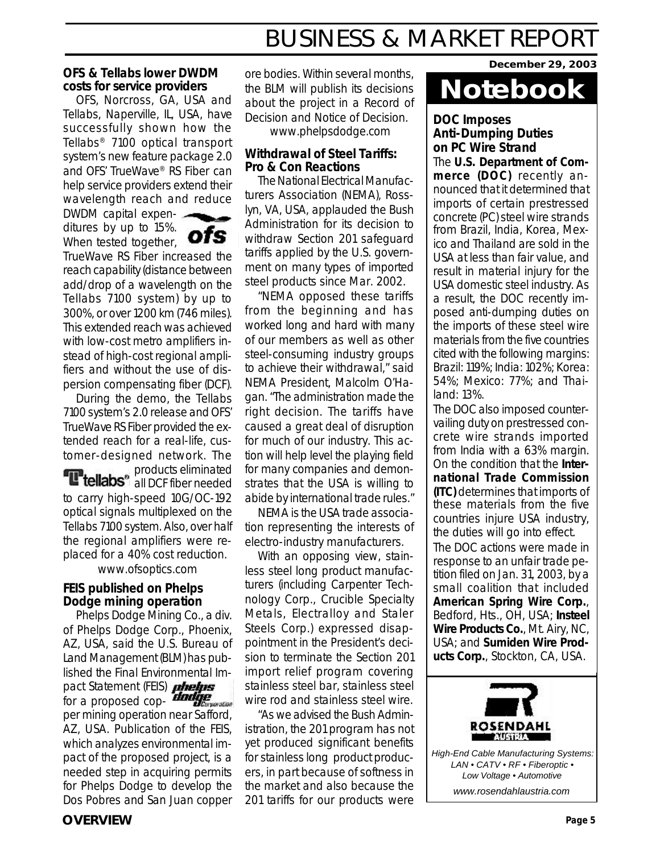#### **OFS & Tellabs lower DWDM costs for service providers**

OFS, Norcross, GA, USA and Tellabs, Naperville, IL, USA, have successfully shown how the Tellabs® 7100 optical transport system's new feature package 2.0 and OFS' TrueWave® RS Fiber can help service providers extend their wavelength reach and reduce

DWDM capital expenditures by up to 15%. When tested together,



TrueWave RS Fiber increased the reach capability (distance between add/drop of a wavelength on the Tellabs 7100 system) by up to 300%, or over 1200 km (746 miles). This extended reach was achieved with low-cost metro amplifiers instead of high-cost regional amplifiers and without the use of dispersion compensating fiber (DCF).

During the demo, the Tellabs 7100 system's 2.0 release and OFS' TrueWave RS Fiber provided the extended reach for a real-life, customer-designed network. The

products eliminated all DCF fiber needed to carry high-speed 10G/OC-192 optical signals multiplexed on the Tellabs 7100 system. Also, over half the regional amplifiers were replaced for a 40% cost reduction.

www.ofsoptics.com

#### **FEIS published on Phelps Dodge mining operation**

Phelps Dodge Mining Co., a div. of Phelps Dodge Corp., Phoenix, AZ, USA, said the U.S. Bureau of Land Management (BLM) has published the Final Environmental Impact Statement (FEIS) **phelps** for a proposed cop- $\overline{d}$  *dadige* per mining operation near Safford, AZ, USA. Publication of the FEIS, which analyzes environmental impact of the proposed project, is a needed step in acquiring permits for Phelps Dodge to develop the Dos Pobres and San Juan copper

ore bodies. Within several months, the BLM will publish its decisions about the project in a Record of Decision and Notice of Decision. www.phelpsdodge.com

#### **Withdrawal of Steel Tariffs: Pro & Con Reactions**

The National Electrical Manufacturers Association (NEMA), Rosslyn, VA, USA, applauded the Bush Administration for its decision to withdraw Section 201 safeguard tariffs applied by the U.S. government on many types of imported steel products since Mar. 2002.

"NEMA opposed these tariffs from the beginning and has worked long and hard with many of our members as well as other steel-consuming industry groups to achieve their withdrawal," said NEMA President, Malcolm O'Hagan. "The administration made the right decision. The tariffs have caused a great deal of disruption for much of our industry. This action will help level the playing field for many companies and demonstrates that the USA is willing to abide by international trade rules."

NEMA is the USA trade association representing the interests of electro-industry manufacturers.

With an opposing view, stainless steel long product manufacturers (including Carpenter Technology Corp., Crucible Specialty Metals, Electralloy and Staler Steels Corp.) expressed disappointment in the President's decision to terminate the Section 201 import relief program covering stainless steel bar, stainless steel wire rod and stainless steel wire.

"As we advised the Bush Administration, the 201 program has not yet produced significant benefits for stainless long product producers, in part because of softness in the market and also because the 201 tariffs for our products were

**December 29, 2003**

### **Notebook**

#### **DOC Imposes Anti-Dumping Duties on PC Wire Strand**

The **U.S. Department of Commerce (DOC)** recently announced that it determined that imports of certain prestressed concrete (PC) steel wire strands from Brazil, India, Korea, Mexico and Thailand are sold in the USA at less than fair value, and result in material injury for the USA domestic steel industry. As a result, the DOC recently imposed anti-dumping duties on the imports of these steel wire materials from the five countries cited with the following margins: Brazil: 119%; India: 102%; Korea: 54%; Mexico: 77%; and Thailand: 13%.

The DOC also imposed countervailing duty on prestressed concrete wire strands imported from India with a 63% margin. On the condition that the **International Trade Commission (ITC)** determines that imports of these materials from the five countries injure USA industry, the duties will go into effect. The DOC actions were made in response to an unfair trade petition filed on Jan. 31, 2003, by a small coalition that included **American Spring Wire Corp.**, Bedford, Hts., OH, USA; **Insteel Wire Products Co.**, Mt. Airy, NC, USA; and **Sumiden Wire Products Corp.**, Stockton, CA, USA.

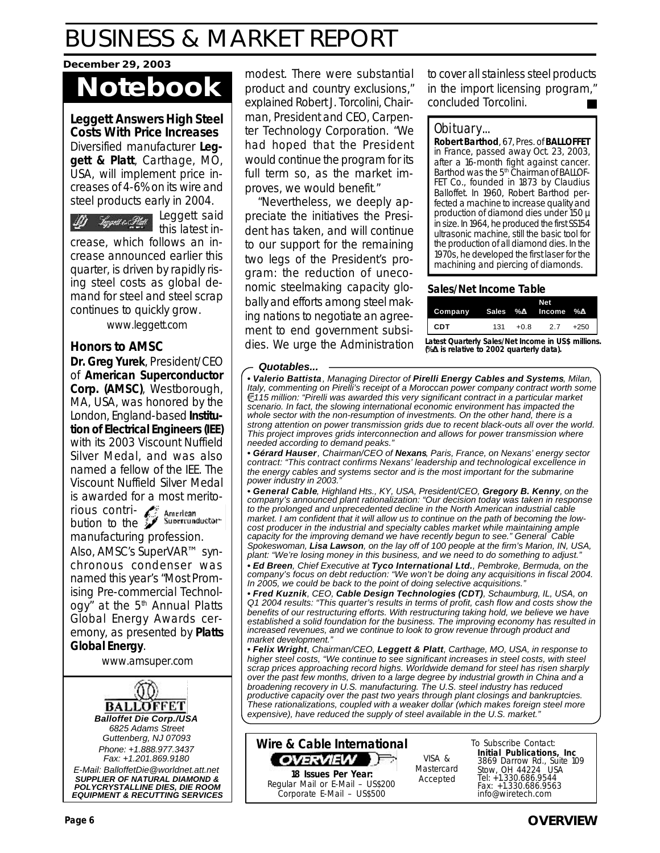#### **December 29, 2003**

# **Notebook**

**Leggett Answers High Steel Costs With Price Increases** Diversified manufacturer **Leggett & Platt**, Carthage, MO, USA, will implement price increases of 4-6% on its wire and steel products early in 2004.

Leggett said D) Toppet e Statt this latest in-

crease, which follows an increase announced earlier this quarter, is driven by rapidly rising steel costs as global demand for steel and steel scrap continues to quickly grow.

www.leggett.com

#### **Honors to AMSC**

**Dr. Greg Yurek**, President/CEO of **American Superconductor Corp. (AMSC)**, Westborough, MA, USA, was honored by the London, England-based **Institution of Electrical Engineers (IEE)** with its 2003 Viscount Nuffield Silver Medal, and was also named a fellow of the IEE. The Viscount Nuffield Silver Medal is awarded for a most merito-

rious contribution to the manufacturing profession.

Also, AMSC's SuperVAR™ synchronous condenser was named this year's "Most Promising Pre-commercial Technology" at the  $5<sup>th</sup>$  Annual Platts Global Energy Awards ceremony, as presented by **Platts Global Energy**.

www.amsuper.com



modest. There were substantial product and country exclusions," explained Robert J. Torcolini, Chairman, President and CEO, Carpenter Technology Corporation. "We had hoped that the President would continue the program for its full term so, as the market improves, we would benefit."

"Nevertheless, we deeply appreciate the initiatives the President has taken, and will continue to our support for the remaining two legs of the President's program: the reduction of uneconomic steelmaking capacity globally and efforts among steel making nations to negotiate an agreement to end government subsidies. We urge the Administration to cover all stainless steel products in the import licensing program," concluded Torcolini.

#### Obituary...

**Robert Barthod**, 67, Pres. of **BALLOFFET** in France, passed away Oct. 23, 2003, after a 16-month fight against cancer. Barthod was the 5<sup>th</sup> Chairman of BALLOF-FET Co., founded in 1873 by Claudius Balloffet. In 1960, Robert Barthod perfected a machine to increase quality and production of diamond dies under 150  $\mu$ in size. In 1964, he produced the first SS154 ultrasonic machine, still the basic tool for the production of all diamond dies. In the 1970s, he developed the first laser for the machining and piercing of diamonds.

#### **Sales/Net Income Table**

| Company Sales %D Income %D  |    |        |
|-----------------------------|----|--------|
| <b>CDT</b><br>$+0.8$<br>131 | 27 | $+250$ |

**Latest Quarterly Sales/Net Income in US\$ millions. (%D is relative to 2002 quarterly data).**

#### *Quotables...*

*• Valerio Battista, Managing Director of Pirelli Energy Cables and Systems, Milan, Italy, commenting on Pirelli's receipt of a Moroccan power company contract worth some 115 million: "Pirelli was awarded this very significant contract in a particular market scenario. In fact, the slowing international economic environment has impacted the whole sector with the non-resumption of investments. On the other hand, there is a strong attention on power transmission grids due to recent black-outs all over the world. This project improves grids interconnection and allows for power transmission where needed according to demand peaks."*

*• Gérard Hauser, Chairman/CEO of Nexans, Paris, France, on Nexans' energy sector contract: "This contract confirms Nexans' leadership and technological excellence in the energy cables and systems sector and is the most important for the submarine* power industry in 2003.

*• General Cable, Highland Hts., KY, USA, President/CEO, Gregory B. Kenny, on the company's announced plant rationalization: "Our decision today was taken in response to the prolonged and unprecedented decline in the North American industrial cable market. I am confident that it will allow us to continue on the path of becoming the lowcost producer in the industrial and specialty cables market while maintaining ample capacity for the improving demand we have recently begun to see." General Cable Spokeswoman, Lisa Lawson, on the lay off of 100 people at the firm's Marion, IN, USA, plant: "We're losing money in this business, and we need to do something to adjust."*

*• Ed Breen, Chief Executive at Tyco International Ltd., Pembroke, Bermuda, on the company's focus on debt reduction: "We won't be doing any acquisitions in fiscal 2004. In 2005, we could be back to the point of doing selective acquisitions."*

*• Fred Kuznik, CEO, Cable Design Technologies (CDT), Schaumburg, IL, USA, on Q1 2004 results: "This quarter's results in terms of profit, cash flow and costs show the benefits of our restructuring efforts. With restructuring taking hold, we believe we have established a solid foundation for the business. The improving economy has resulted in increased revenues, and we continue to look to grow revenue through product and market development."*

*• Felix Wright, Chairman/CEO, Leggett & Platt, Carthage, MO, USA, in response to higher steel costs, "We continue to see significant increases in steel costs, with steel scrap prices approaching record highs. Worldwide demand for steel has risen sharply over the past few months, driven to a large degree by industrial growth in China and a broadening recovery in U.S. manufacturing. The U.S. steel industry has reduced productive capacity over the past two years through plant closings and bankruptcies. These rationalizations, coupled with a weaker dollar (which makes foreign steel more expensive), have reduced the supply of steel available in the U.S. market."*



VISA & Mastercard<br>Accepted

To Subscribe Contact: **Initial Publications, Inc** 3869 Darrow Rd., Suite 109 Stow, OH 44224 USA Tel: +1.330.686.9544 Fax: +1.330.686.9563 info@wiretech.com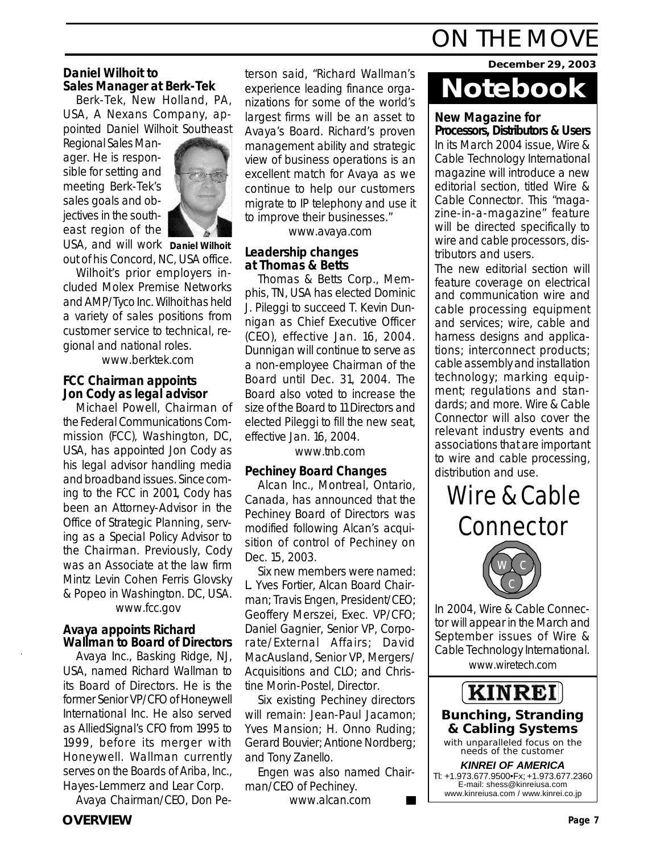#### **Daniel Wilhoit to Sales Manager at Berk-Tek**

Berk-Tek, New Holland, PA, USA, A Nexans Company, appointed Daniel Wilhoit Southeast

Regional Sales Manager. He is responsible for setting and meeting Berk-Tek's sales goals and objectives in the southeast region of the



USA, and will work **Daniel Wilhoit** out of his Concord, NC, USA office.

Wilhoit's prior employers included Molex Premise Networks and AMP/Tyco Inc. Wilhoit has held a variety of sales positions from customer service to technical, regional and national roles.

www.berktek.com

#### **FCC Chairman appoints Jon Cody as legal advisor**

Michael Powell, Chairman of the Federal Communications Commission (FCC), Washington, DC, USA, has appointed Jon Cody as his legal advisor handling media and broadband issues. Since coming to the FCC in 2001, Cody has been an Attorney-Advisor in the Office of Strategic Planning, serving as a Special Policy Advisor to the Chairman. Previously, Cody was an Associate at the law firm Mintz Levin Cohen Ferris Glovsky & Popeo in Washington. DC, USA. www.fcc.gov

### **Avaya appoints Richard**

### **Wallman to Board of Directors**

Avaya Inc., Basking Ridge, NJ, USA, named Richard Wallman to its Board of Directors. He is the former Senior VP/CFO of Honeywell International Inc. He also served as AlliedSignal's CFO from 1995 to 1999, before its merger with Honeywell. Wallman currently serves on the Boards of Ariba, Inc., Hayes-Lemmerz and Lear Corp.

Avaya Chairman/CEO, Don Pe-

terson said, "Richard Wallman's experience leading finance organizations for some of the world's largest firms will be an asset to Avaya's Board. Richard's proven management ability and strategic view of business operations is an excellent match for Avaya as we continue to help our customers migrate to IP telephony and use it to improve their businesses."

www.avaya.com

#### **Leadership changes at Thomas & Betts**

Thomas & Betts Corp., Memphis, TN, USA has elected Dominic J. Pileggi to succeed T. Kevin Dunnigan as Chief Executive Officer (CEO), effective Jan. 16, 2004. Dunnigan will continue to serve as a non-employee Chairman of the Board until Dec. 31, 2004. The Board also voted to increase the size of the Board to 11 Directors and elected Pileggi to fill the new seat, effective Jan. 16, 2004.

www.tnb.com

#### **Pechiney Board Changes**

Alcan Inc., Montreal, Ontario, Canada, has announced that the Pechiney Board of Directors was modified following Alcan's acquisition of control of Pechiney on Dec. 15, 2003.

Six new members were named: L. Yves Fortier, Alcan Board Chairman; Travis Engen, President/CEO; Geoffery Merszei, Exec. VP/CFO; Daniel Gagnier, Senior VP, Corporate/External Affairs; David MacAusland, Senior VP, Mergers/ Acquisitions and CLO; and Christine Morin-Postel, Director.

Six existing Pechiney directors will remain: Jean-Paul Jacamon; Yves Mansion; H. Onno Ruding; Gerard Bouvier; Antione Nordberg; and Tony Zanello.

Engen was also named Chairman/CEO of Pechiney.

www.alcan.com

# ON THE MOVE

**December 29, 2003**

## **Notebook**

#### **New Magazine for Processors, Distributors & Users**

In its March 2004 issue, Wire & Cable Technology International magazine will introduce a new editorial section, titled Wire & Cable Connector. This "magazine-in-a-magazine" feature will be directed specifically to wire and cable processors, distributors and users.

The new editorial section will feature coverage on electrical and communication wire and cable processing equipment and services; wire, cable and harness designs and applications; interconnect products; cable assembly and installation technology; marking equipment; regulations and standards; and more. Wire & Cable Connector will also cover the relevant industry events and associations that are important to wire and cable processing, distribution and use.

## Wire & Cable **Connector**



In 2004, Wire & Cable Connector will appear in the March and September issues of Wire & Cable Technology International. www.wiretech.com

**KINREI** *Bunching, Stranding*

*& Cabling Systems with unparalleled focus on the needs of the customer*

*KINREI OF AMERICA* Tl: +1.973.677.9500•Fx; +1.973.677.2360 E-mail: shess@kinreiusa.com www.kinreiusa.com / www.kinrei.co.jp